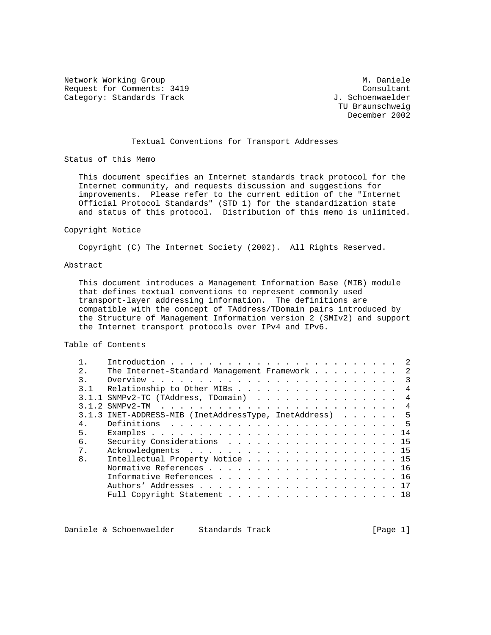Network Working Group Metwork Monicle Metwork Monicle Request for Comments: 3419 Consultant<br>
Category: Standards Track Gategory: Standards Track Category: Standards Track

 TU Braunschweig December 2002

### Textual Conventions for Transport Addresses

Status of this Memo

 This document specifies an Internet standards track protocol for the Internet community, and requests discussion and suggestions for improvements. Please refer to the current edition of the "Internet Official Protocol Standards" (STD 1) for the standardization state and status of this protocol. Distribution of this memo is unlimited.

#### Copyright Notice

Copyright (C) The Internet Society (2002). All Rights Reserved.

#### Abstract

 This document introduces a Management Information Base (MIB) module that defines textual conventions to represent commonly used transport-layer addressing information. The definitions are compatible with the concept of TAddress/TDomain pairs introduced by the Structure of Management Information version 2 (SMIv2) and support the Internet transport protocols over IPv4 and IPv6.

# Table of Contents

| $2^{\circ}$      | The Internet-Standard Management Framework 2            |
|------------------|---------------------------------------------------------|
| $\overline{3}$ . |                                                         |
| 3.1              | Relationship to Other MIBs 4                            |
|                  | $3.1.1$ SNMPv2-TC (TAddress, TDomain) 4                 |
|                  |                                                         |
|                  | 3.1.3 INET-ADDRESS-MIB (InetAddressType, InetAddress) 5 |
| 4.               |                                                         |
| 5.               |                                                         |
| б.               | Security Considerations 15                              |
| 7.               |                                                         |
| 8.               | Intellectual Property Notice 15                         |
|                  | Normative References 16                                 |
|                  | Informative References 16                               |
|                  |                                                         |
|                  | Full Copyright Statement 18                             |

Daniele & Schoenwaelder Standards Track [Page 1]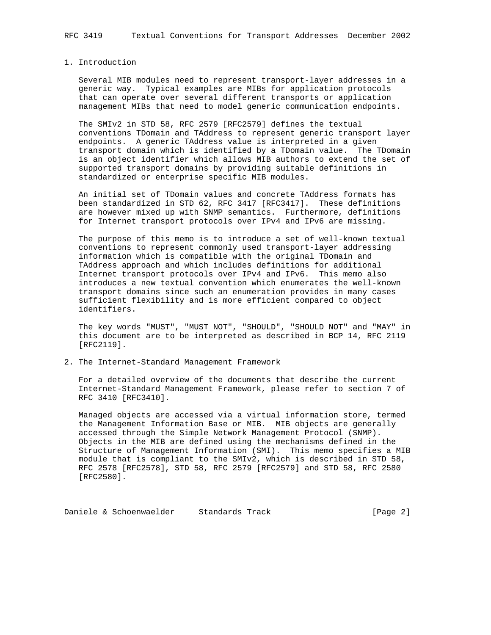#### 1. Introduction

 Several MIB modules need to represent transport-layer addresses in a generic way. Typical examples are MIBs for application protocols that can operate over several different transports or application management MIBs that need to model generic communication endpoints.

 The SMIv2 in STD 58, RFC 2579 [RFC2579] defines the textual conventions TDomain and TAddress to represent generic transport layer endpoints. A generic TAddress value is interpreted in a given transport domain which is identified by a TDomain value. The TDomain is an object identifier which allows MIB authors to extend the set of supported transport domains by providing suitable definitions in standardized or enterprise specific MIB modules.

 An initial set of TDomain values and concrete TAddress formats has been standardized in STD 62, RFC 3417 [RFC3417]. These definitions are however mixed up with SNMP semantics. Furthermore, definitions for Internet transport protocols over IPv4 and IPv6 are missing.

 The purpose of this memo is to introduce a set of well-known textual conventions to represent commonly used transport-layer addressing information which is compatible with the original TDomain and TAddress approach and which includes definitions for additional Internet transport protocols over IPv4 and IPv6. This memo also introduces a new textual convention which enumerates the well-known transport domains since such an enumeration provides in many cases sufficient flexibility and is more efficient compared to object identifiers.

 The key words "MUST", "MUST NOT", "SHOULD", "SHOULD NOT" and "MAY" in this document are to be interpreted as described in BCP 14, RFC 2119 [RFC2119].

2. The Internet-Standard Management Framework

 For a detailed overview of the documents that describe the current Internet-Standard Management Framework, please refer to section 7 of RFC 3410 [RFC3410].

 Managed objects are accessed via a virtual information store, termed the Management Information Base or MIB. MIB objects are generally accessed through the Simple Network Management Protocol (SNMP). Objects in the MIB are defined using the mechanisms defined in the Structure of Management Information (SMI). This memo specifies a MIB module that is compliant to the SMIv2, which is described in STD 58, RFC 2578 [RFC2578], STD 58, RFC 2579 [RFC2579] and STD 58, RFC 2580 [RFC2580].

Daniele & Schoenwaelder Standards Track [Page 2]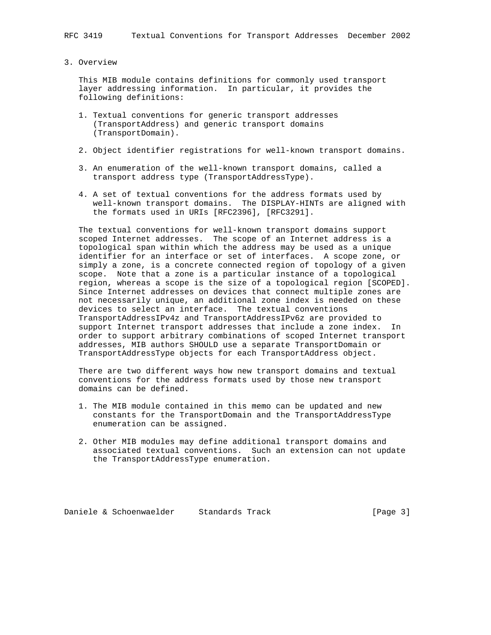### 3. Overview

 This MIB module contains definitions for commonly used transport layer addressing information. In particular, it provides the following definitions:

- 1. Textual conventions for generic transport addresses (TransportAddress) and generic transport domains (TransportDomain).
- 2. Object identifier registrations for well-known transport domains.
- 3. An enumeration of the well-known transport domains, called a transport address type (TransportAddressType).
- 4. A set of textual conventions for the address formats used by well-known transport domains. The DISPLAY-HINTs are aligned with the formats used in URIs [RFC2396], [RFC3291].

 The textual conventions for well-known transport domains support scoped Internet addresses. The scope of an Internet address is a topological span within which the address may be used as a unique identifier for an interface or set of interfaces. A scope zone, or simply a zone, is a concrete connected region of topology of a given scope. Note that a zone is a particular instance of a topological region, whereas a scope is the size of a topological region [SCOPED]. Since Internet addresses on devices that connect multiple zones are not necessarily unique, an additional zone index is needed on these devices to select an interface. The textual conventions TransportAddressIPv4z and TransportAddressIPv6z are provided to support Internet transport addresses that include a zone index. In order to support arbitrary combinations of scoped Internet transport addresses, MIB authors SHOULD use a separate TransportDomain or TransportAddressType objects for each TransportAddress object.

 There are two different ways how new transport domains and textual conventions for the address formats used by those new transport domains can be defined.

- 1. The MIB module contained in this memo can be updated and new constants for the TransportDomain and the TransportAddressType enumeration can be assigned.
- 2. Other MIB modules may define additional transport domains and associated textual conventions. Such an extension can not update the TransportAddressType enumeration.

Daniele & Schoenwaelder Standards Track [Page 3]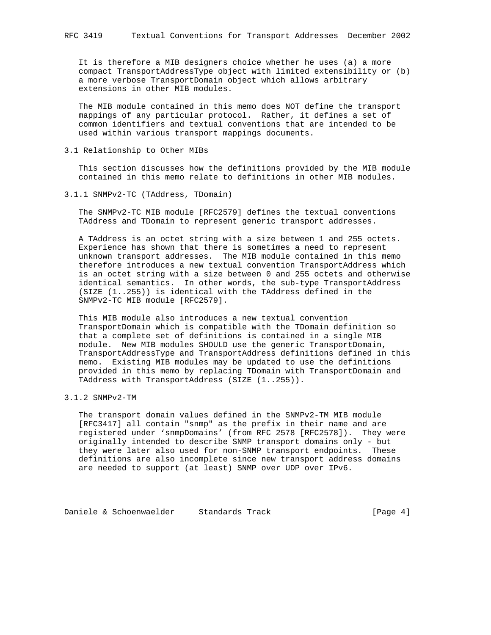It is therefore a MIB designers choice whether he uses (a) a more compact TransportAddressType object with limited extensibility or (b) a more verbose TransportDomain object which allows arbitrary extensions in other MIB modules.

 The MIB module contained in this memo does NOT define the transport mappings of any particular protocol. Rather, it defines a set of common identifiers and textual conventions that are intended to be used within various transport mappings documents.

3.1 Relationship to Other MIBs

 This section discusses how the definitions provided by the MIB module contained in this memo relate to definitions in other MIB modules.

3.1.1 SNMPv2-TC (TAddress, TDomain)

 The SNMPv2-TC MIB module [RFC2579] defines the textual conventions TAddress and TDomain to represent generic transport addresses.

 A TAddress is an octet string with a size between 1 and 255 octets. Experience has shown that there is sometimes a need to represent unknown transport addresses. The MIB module contained in this memo therefore introduces a new textual convention TransportAddress which is an octet string with a size between 0 and 255 octets and otherwise identical semantics. In other words, the sub-type TransportAddress (SIZE (1..255)) is identical with the TAddress defined in the SNMPv2-TC MIB module [RFC2579].

 This MIB module also introduces a new textual convention TransportDomain which is compatible with the TDomain definition so that a complete set of definitions is contained in a single MIB module. New MIB modules SHOULD use the generic TransportDomain, TransportAddressType and TransportAddress definitions defined in this memo. Existing MIB modules may be updated to use the definitions provided in this memo by replacing TDomain with TransportDomain and TAddress with TransportAddress (SIZE (1..255)).

## 3.1.2 SNMPv2-TM

 The transport domain values defined in the SNMPv2-TM MIB module [RFC3417] all contain "snmp" as the prefix in their name and are registered under 'snmpDomains' (from RFC 2578 [RFC2578]). They were originally intended to describe SNMP transport domains only - but they were later also used for non-SNMP transport endpoints. These definitions are also incomplete since new transport address domains are needed to support (at least) SNMP over UDP over IPv6.

Daniele & Schoenwaelder Standards Track [Page 4]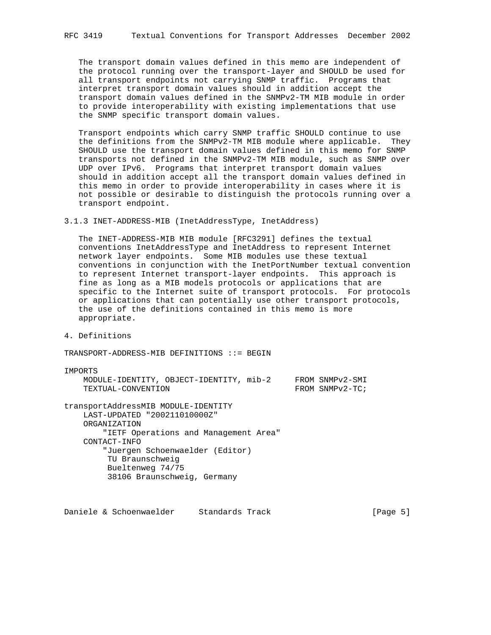The transport domain values defined in this memo are independent of the protocol running over the transport-layer and SHOULD be used for all transport endpoints not carrying SNMP traffic. Programs that interpret transport domain values should in addition accept the transport domain values defined in the SNMPv2-TM MIB module in order to provide interoperability with existing implementations that use the SNMP specific transport domain values.

 Transport endpoints which carry SNMP traffic SHOULD continue to use the definitions from the SNMPv2-TM MIB module where applicable. They SHOULD use the transport domain values defined in this memo for SNMP transports not defined in the SNMPv2-TM MIB module, such as SNMP over UDP over IPv6. Programs that interpret transport domain values should in addition accept all the transport domain values defined in this memo in order to provide interoperability in cases where it is not possible or desirable to distinguish the protocols running over a transport endpoint.

### 3.1.3 INET-ADDRESS-MIB (InetAddressType, InetAddress)

 The INET-ADDRESS-MIB MIB module [RFC3291] defines the textual conventions InetAddressType and InetAddress to represent Internet network layer endpoints. Some MIB modules use these textual conventions in conjunction with the InetPortNumber textual convention to represent Internet transport-layer endpoints. This approach is fine as long as a MIB models protocols or applications that are specific to the Internet suite of transport protocols. For protocols or applications that can potentially use other transport protocols, the use of the definitions contained in this memo is more appropriate.

4. Definitions

TRANSPORT-ADDRESS-MIB DEFINITIONS ::= BEGIN

IMPORTS

|                    | MODULE-IDENTITY, OBJECT-IDENTITY, mib-2 |  | FROM SNMPv2-SMI |
|--------------------|-----------------------------------------|--|-----------------|
| TEXTUAL-CONVENTION |                                         |  | FROM SNMPv2-TC; |

transportAddressMIB MODULE-IDENTITY LAST-UPDATED "200211010000Z" ORGANIZATION "IETF Operations and Management Area" CONTACT-INFO "Juergen Schoenwaelder (Editor) TU Braunschweig Bueltenweg 74/75 38106 Braunschweig, Germany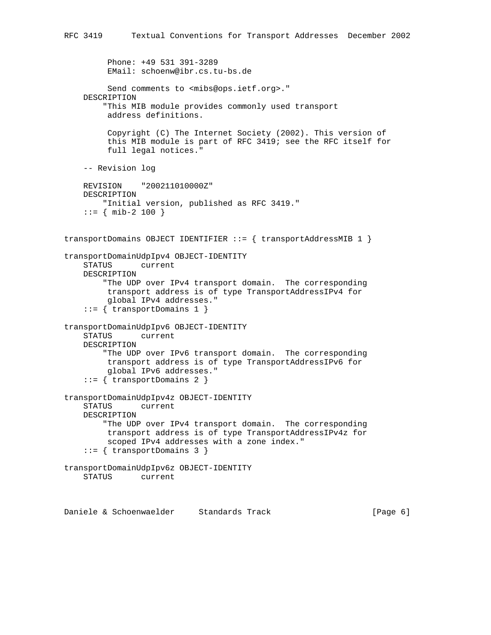```
 Phone: +49 531 391-3289
          EMail: schoenw@ibr.cs.tu-bs.de
         Send comments to <mibs@ops.ietf.org>."
     DESCRIPTION
         "This MIB module provides commonly used transport
          address definitions.
          Copyright (C) The Internet Society (2002). This version of
          this MIB module is part of RFC 3419; see the RFC itself for
          full legal notices."
     -- Revision log
    REVISION "200211010000Z"
    DESCRIPTION
         "Initial version, published as RFC 3419."
    ::= { mib-2 100 }
transportDomains OBJECT IDENTIFIER ::= { transportAddressMIB 1 }
transportDomainUdpIpv4 OBJECT-IDENTITY
    STATUS current
    DESCRIPTION
         "The UDP over IPv4 transport domain. The corresponding
         transport address is of type TransportAddressIPv4 for
          global IPv4 addresses."
     ::= { transportDomains 1 }
transportDomainUdpIpv6 OBJECT-IDENTITY
    STATUS current
    DESCRIPTION
         "The UDP over IPv6 transport domain. The corresponding
         transport address is of type TransportAddressIPv6 for
         global IPv6 addresses."
     ::= { transportDomains 2 }
transportDomainUdpIpv4z OBJECT-IDENTITY
     STATUS current
    DESCRIPTION
         "The UDP over IPv4 transport domain. The corresponding
         transport address is of type TransportAddressIPv4z for
         scoped IPv4 addresses with a zone index."
     ::= { transportDomains 3 }
transportDomainUdpIpv6z OBJECT-IDENTITY
    STATUS current
```
RFC 3419 Textual Conventions for Transport Addresses December 2002

Daniele & Schoenwaelder Standards Track (Page 6)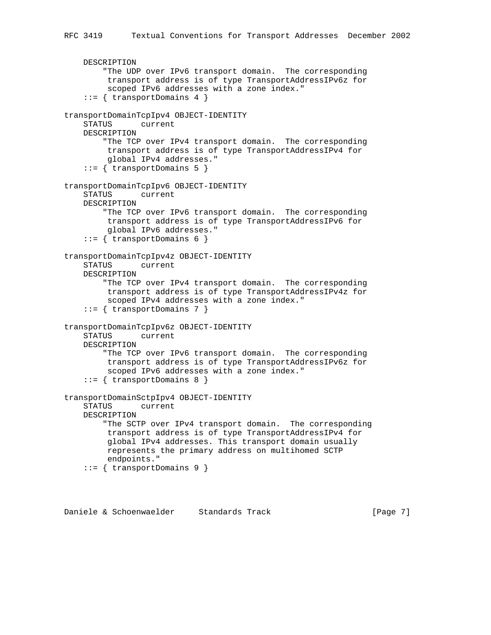```
 DESCRIPTION
         "The UDP over IPv6 transport domain. The corresponding
          transport address is of type TransportAddressIPv6z for
          scoped IPv6 addresses with a zone index."
    ::= { transportDomains 4 }
transportDomainTcpIpv4 OBJECT-IDENTITY
    STATUS current
    DESCRIPTION
         "The TCP over IPv4 transport domain. The corresponding
         transport address is of type TransportAddressIPv4 for
         global IPv4 addresses."
     ::= { transportDomains 5 }
transportDomainTcpIpv6 OBJECT-IDENTITY
     STATUS current
    DESCRIPTION
         "The TCP over IPv6 transport domain. The corresponding
         transport address is of type TransportAddressIPv6 for
         global IPv6 addresses."
     ::= { transportDomains 6 }
transportDomainTcpIpv4z OBJECT-IDENTITY
    STATUS current
    DESCRIPTION
         "The TCP over IPv4 transport domain. The corresponding
          transport address is of type TransportAddressIPv4z for
          scoped IPv4 addresses with a zone index."
     ::= { transportDomains 7 }
transportDomainTcpIpv6z OBJECT-IDENTITY
    STATUS current
    DESCRIPTION
         "The TCP over IPv6 transport domain. The corresponding
         transport address is of type TransportAddressIPv6z for
         scoped IPv6 addresses with a zone index."
     ::= { transportDomains 8 }
transportDomainSctpIpv4 OBJECT-IDENTITY
     STATUS current
    DESCRIPTION
         "The SCTP over IPv4 transport domain. The corresponding
         transport address is of type TransportAddressIPv4 for
          global IPv4 addresses. This transport domain usually
         represents the primary address on multihomed SCTP
         endpoints."
     ::= { transportDomains 9 }
```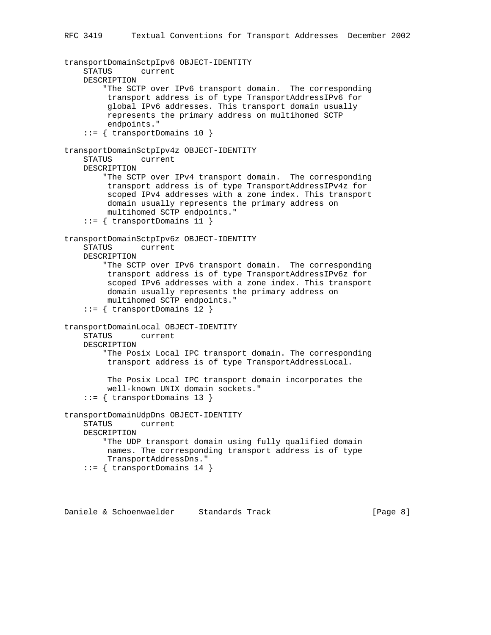```
transportDomainSctpIpv6 OBJECT-IDENTITY
     STATUS current
    DESCRIPTION
         "The SCTP over IPv6 transport domain. The corresponding
          transport address is of type TransportAddressIPv6 for
          global IPv6 addresses. This transport domain usually
          represents the primary address on multihomed SCTP
          endpoints."
     ::= { transportDomains 10 }
transportDomainSctpIpv4z OBJECT-IDENTITY
     STATUS current
    DESCRIPTION
         "The SCTP over IPv4 transport domain. The corresponding
          transport address is of type TransportAddressIPv4z for
          scoped IPv4 addresses with a zone index. This transport
          domain usually represents the primary address on
         multihomed SCTP endpoints."
     ::= { transportDomains 11 }
transportDomainSctpIpv6z OBJECT-IDENTITY
     STATUS current
    DESCRIPTION
         "The SCTP over IPv6 transport domain. The corresponding
         transport address is of type TransportAddressIPv6z for
          scoped IPv6 addresses with a zone index. This transport
          domain usually represents the primary address on
          multihomed SCTP endpoints."
     ::= { transportDomains 12 }
transportDomainLocal OBJECT-IDENTITY
    STATUS current
    DESCRIPTION
         "The Posix Local IPC transport domain. The corresponding
         transport address is of type TransportAddressLocal.
          The Posix Local IPC transport domain incorporates the
          well-known UNIX domain sockets."
     ::= { transportDomains 13 }
transportDomainUdpDns OBJECT-IDENTITY
    STATUS current
    DESCRIPTION
         "The UDP transport domain using fully qualified domain
         names. The corresponding transport address is of type
         TransportAddressDns."
     ::= { transportDomains 14 }
```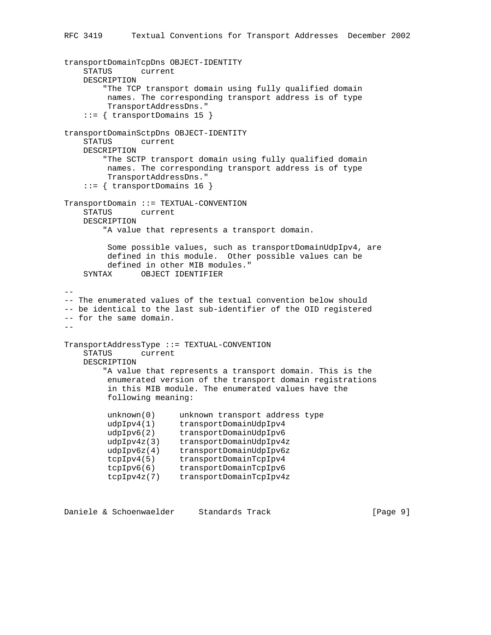```
transportDomainTcpDns OBJECT-IDENTITY
    STATUS current
    DESCRIPTION
        "The TCP transport domain using fully qualified domain
         names. The corresponding transport address is of type
         TransportAddressDns."
    ::= { transportDomains 15 }
transportDomainSctpDns OBJECT-IDENTITY
    STATUS current
    DESCRIPTION
        "The SCTP transport domain using fully qualified domain
         names. The corresponding transport address is of type
         TransportAddressDns."
    ::= { transportDomains 16 }
TransportDomain ::= TEXTUAL-CONVENTION
    STATUS current
    DESCRIPTION
        "A value that represents a transport domain.
         Some possible values, such as transportDomainUdpIpv4, are
         defined in this module. Other possible values can be
         defined in other MIB modules."
    SYNTAX OBJECT IDENTIFIER
--- The enumerated values of the textual convention below should
-- be identical to the last sub-identifier of the OID registered
-- for the same domain.
--
TransportAddressType ::= TEXTUAL-CONVENTION
    STATUS current
    DESCRIPTION
        "A value that represents a transport domain. This is the
         enumerated version of the transport domain registrations
         in this MIB module. The enumerated values have the
         following meaning:
 unknown(0) unknown transport address type
 udpIpv4(1) transportDomainUdpIpv4
 udpIpv6(2) transportDomainUdpIpv6
 udpIpv4z(3) transportDomainUdpIpv4z
 udpIpv6z(4) transportDomainUdpIpv6z
 tcpIpv4(5) transportDomainTcpIpv4
 tcpIpv6(6) transportDomainTcpIpv6
 tcpIpv4z(7) transportDomainTcpIpv4z
```
Daniele & Schoenwaelder Standards Track [Page 9]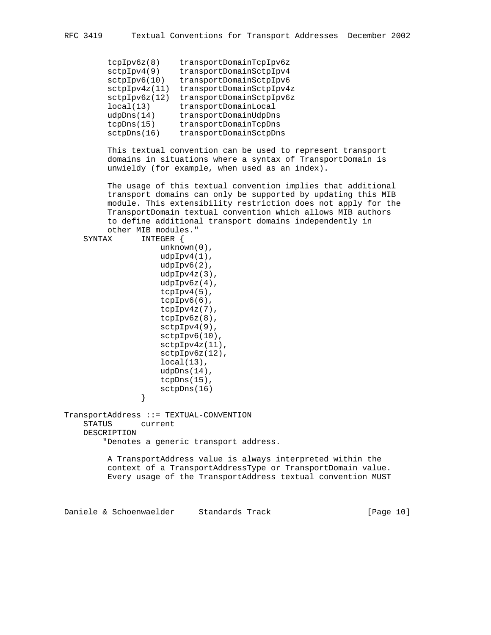| transportDomainTcpIpv6z  |
|--------------------------|
| transportDomainSctpIpv4  |
| transportDomainSctpIpv6  |
| transportDomainSctpIpv4z |
| transportDomainSctpIpv6z |
| transportDomainLocal     |
| transportDomainUdpDns    |
| transportDomainTcpDns    |
| transportDomainSctpDns   |
|                          |

 This textual convention can be used to represent transport domains in situations where a syntax of TransportDomain is unwieldy (for example, when used as an index).

 The usage of this textual convention implies that additional transport domains can only be supported by updating this MIB module. This extensibility restriction does not apply for the TransportDomain textual convention which allows MIB authors to define additional transport domains independently in

```
 other MIB modules."
     SYNTAX INTEGER {
                     unknown(0),
                     udpIpv4(1),
                     udpIpv6(2),
                     udpIpv4z(3),
                    udpIpv6z(4),
                    tcpIpv4(5),
                     tcpIpv6(6),
                     tcpIpv4z(7),
                     tcpIpv6z(8),
                     sctpIpv4(9),
                     sctpIpv6(10),
                     sctpIpv4z(11),
                     sctpIpv6z(12),
                    local(13),
                    udpDns(14),
                     tcpDns(15),
                sctpDns(16)<br>}
 }
TransportAddress ::= TEXTUAL-CONVENTION
    STATUS current
    DESCRIPTION
         "Denotes a generic transport address.
         A TransportAddress value is always interpreted within the
```
 context of a TransportAddressType or TransportDomain value. Every usage of the TransportAddress textual convention MUST

Daniele & Schoenwaelder Standards Track [Page 10]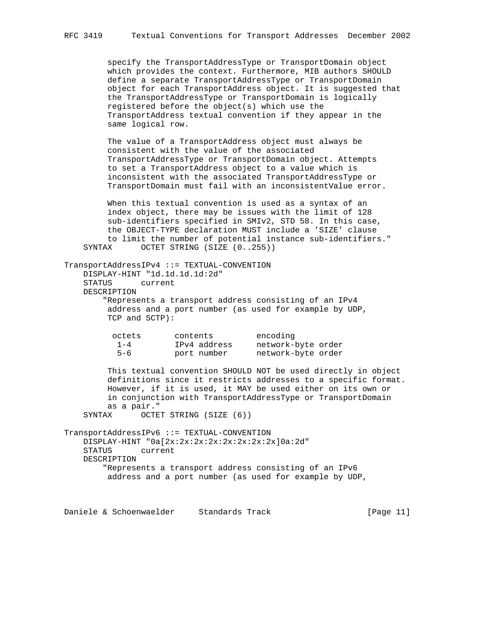specify the TransportAddressType or TransportDomain object which provides the context. Furthermore, MIB authors SHOULD define a separate TransportAddressType or TransportDomain object for each TransportAddress object. It is suggested that the TransportAddressType or TransportDomain is logically registered before the object(s) which use the TransportAddress textual convention if they appear in the same logical row.

 The value of a TransportAddress object must always be consistent with the value of the associated TransportAddressType or TransportDomain object. Attempts to set a TransportAddress object to a value which is inconsistent with the associated TransportAddressType or TransportDomain must fail with an inconsistentValue error.

 When this textual convention is used as a syntax of an index object, there may be issues with the limit of 128 sub-identifiers specified in SMIv2, STD 58. In this case, the OBJECT-TYPE declaration MUST include a 'SIZE' clause to limit the number of potential instance sub-identifiers." SYNTAX OCTET STRING (SIZE (0..255))

```
TransportAddressIPv4 ::= TEXTUAL-CONVENTION
    DISPLAY-HINT "1d.1d.1d.1d:2d"
    STATUS current
    DESCRIPTION
        "Represents a transport address consisting of an IPv4
         address and a port number (as used for example by UDP,
         TCP and SCTP):
          octets contents encoding
 1-4 IPv4 address network-byte order
 5-6 port number network-byte order
         This textual convention SHOULD NOT be used directly in object
         definitions since it restricts addresses to a specific format.
         However, if it is used, it MAY be used either on its own or
         in conjunction with TransportAddressType or TransportDomain
         as a pair."
    SYNTAX OCTET STRING (SIZE (6))
TransportAddressIPv6 ::= TEXTUAL-CONVENTION
    DISPLAY-HINT "0a[2x:2x:2x:2x:2x:2x:2x:2x]0a:2d"
    STATUS current
    DESCRIPTION
        "Represents a transport address consisting of an IPv6
         address and a port number (as used for example by UDP,
```
Daniele & Schoenwaelder Standards Track [Page 11]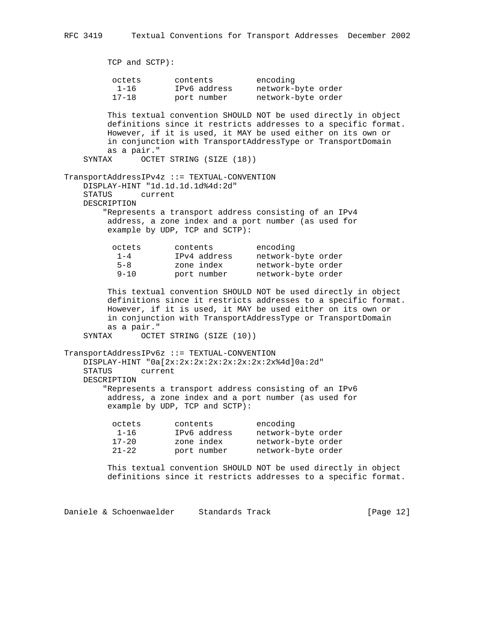```
 TCP and SCTP):
 octets contents encoding
 1-16 IPv6 address network-byte order
 17-18 port number network-byte order
        This textual convention SHOULD NOT be used directly in object
        definitions since it restricts addresses to a specific format.
        However, if it is used, it MAY be used either on its own or
        in conjunction with TransportAddressType or TransportDomain
        as a pair."
   SYNTAX OCTET STRING (SIZE (18))
TransportAddressIPv4z ::= TEXTUAL-CONVENTION
    DISPLAY-HINT "1d.1d.1d.1d%4d:2d"
    STATUS current
    DESCRIPTION
        "Represents a transport address consisting of an IPv4
        address, a zone index and a port number (as used for
        example by UDP, TCP and SCTP):
         octets contents encoding
 1-4 IPv4 address network-byte order
 5-8 zone index network-byte order
 9-10 port number network-byte order
        This textual convention SHOULD NOT be used directly in object
        definitions since it restricts addresses to a specific format.
        However, if it is used, it MAY be used either on its own or
        in conjunction with TransportAddressType or TransportDomain
        as a pair."
   SYNTAX OCTET STRING (SIZE (10))
TransportAddressIPv6z ::= TEXTUAL-CONVENTION
    DISPLAY-HINT "0a[2x:2x:2x:2x:2x:2x:2x:2x%4d]0a:2d"
    STATUS current
    DESCRIPTION
        "Represents a transport address consisting of an IPv6
        address, a zone index and a port number (as used for
        example by UDP, TCP and SCTP):
 octets contents encoding
 1-16 IPv6 address network-byte order
 17-20 zone index network-byte order
 21-22 port number network-byte order
        This textual convention SHOULD NOT be used directly in object
        definitions since it restricts addresses to a specific format.
```
Daniele & Schoenwaelder Standards Track [Page 12]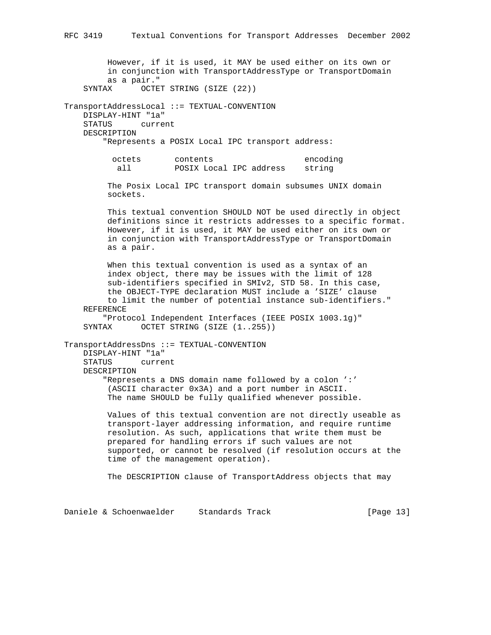However, if it is used, it MAY be used either on its own or in conjunction with TransportAddressType or TransportDomain as a pair." SYNTAX OCTET STRING (SIZE (22)) TransportAddressLocal ::= TEXTUAL-CONVENTION DISPLAY-HINT "1a" STATUS current DESCRIPTION "Represents a POSIX Local IPC transport address: octets contents encoding all POSIX Local IPC address string The Posix Local IPC transport domain subsumes UNIX domain sockets. This textual convention SHOULD NOT be used directly in object definitions since it restricts addresses to a specific format. However, if it is used, it MAY be used either on its own or in conjunction with TransportAddressType or TransportDomain as a pair. When this textual convention is used as a syntax of an index object, there may be issues with the limit of 128 sub-identifiers specified in SMIv2, STD 58. In this case, the OBJECT-TYPE declaration MUST include a 'SIZE' clause to limit the number of potential instance sub-identifiers." REFERENCE "Protocol Independent Interfaces (IEEE POSIX 1003.1g)" SYNTAX OCTET STRING (SIZE (1..255)) TransportAddressDns ::= TEXTUAL-CONVENTION DISPLAY-HINT "1a" STATUS current DESCRIPTION "Represents a DNS domain name followed by a colon ':' (ASCII character 0x3A) and a port number in ASCII. The name SHOULD be fully qualified whenever possible. Values of this textual convention are not directly useable as transport-layer addressing information, and require runtime resolution. As such, applications that write them must be prepared for handling errors if such values are not supported, or cannot be resolved (if resolution occurs at the time of the management operation). The DESCRIPTION clause of TransportAddress objects that may

Daniele & Schoenwaelder Standards Track [Page 13]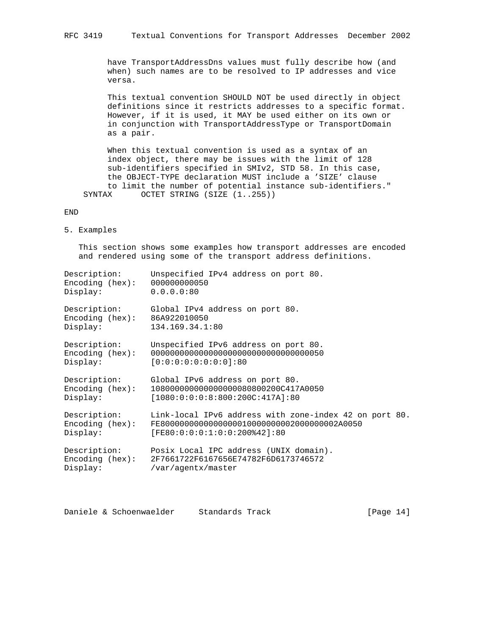have TransportAddressDns values must fully describe how (and when) such names are to be resolved to IP addresses and vice versa.

 This textual convention SHOULD NOT be used directly in object definitions since it restricts addresses to a specific format. However, if it is used, it MAY be used either on its own or in conjunction with TransportAddressType or TransportDomain as a pair.

 When this textual convention is used as a syntax of an index object, there may be issues with the limit of 128 sub-identifiers specified in SMIv2, STD 58. In this case, the OBJECT-TYPE declaration MUST include a 'SIZE' clause to limit the number of potential instance sub-identifiers." SYNTAX OCTET STRING (SIZE (1..255))

#### END

5. Examples

 This section shows some examples how transport addresses are encoded and rendered using some of the transport address definitions.

| Description:                                               | Unspecified IPv4 address on port 80.                   |
|------------------------------------------------------------|--------------------------------------------------------|
| Encoder (hex):                                             | 000000000050                                           |
| Display:                                                   | 0.0.0.0:80                                             |
| Description:<br>Encoding $(hex): 86A922010050$<br>Display: | Global IPv4 address on port 80.<br>134.169.34.1:80     |
| Description:                                               | Unspecified IPv6 address on port 80.                   |
| Encoder (hex):                                             |                                                        |
| Display:                                                   | $[0:0:0:0:0:0:0:0:0]$ :80                              |
| Description:                                               | Global IPv6 address on port 80.                        |
| Encoding (hex):                                            | 1080000000000000000080800200C417A0050                  |
| Display:                                                   | [1080:0:0:0:8:800:200C:417A]:80                        |
| Description:                                               | Link-local IPv6 address with zone-index 42 on port 80. |
| Encoder (hex):                                             | FE800000000000000000100000000002000000002A0050         |
| Display:                                                   | $[FF80:0:0:0:1:0:0:200*42]:80$                         |
| Description:                                               | Posix Local IPC address (UNIX domain).                 |
| Encoding (hex):                                            | 2F7661722F6167656E74782F6D6173746572                   |
| Display:                                                   | /var/agentx/master                                     |

Daniele & Schoenwaelder Standards Track [Page 14]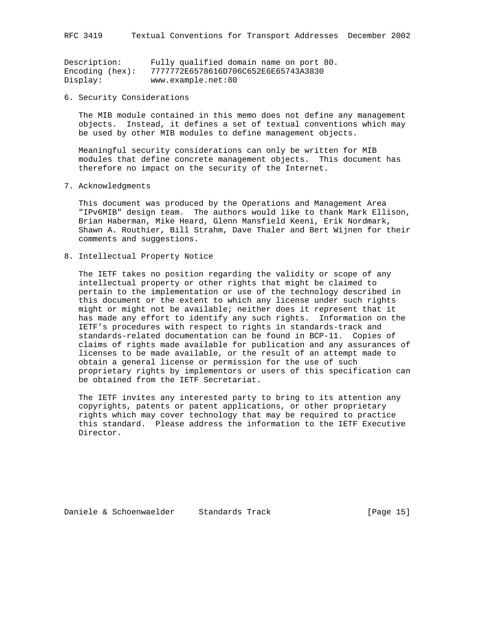| Description:   | Fully qualified domain name on port 80. |
|----------------|-----------------------------------------|
| Encoder (hex): | 7777772E6578616D706C652E6E65743A3830    |
| Display:       | www.example.net:80                      |

6. Security Considerations

 The MIB module contained in this memo does not define any management objects. Instead, it defines a set of textual conventions which may be used by other MIB modules to define management objects.

 Meaningful security considerations can only be written for MIB modules that define concrete management objects. This document has therefore no impact on the security of the Internet.

7. Acknowledgments

 This document was produced by the Operations and Management Area "IPv6MIB" design team. The authors would like to thank Mark Ellison, Brian Haberman, Mike Heard, Glenn Mansfield Keeni, Erik Nordmark, Shawn A. Routhier, Bill Strahm, Dave Thaler and Bert Wijnen for their comments and suggestions.

8. Intellectual Property Notice

 The IETF takes no position regarding the validity or scope of any intellectual property or other rights that might be claimed to pertain to the implementation or use of the technology described in this document or the extent to which any license under such rights might or might not be available; neither does it represent that it has made any effort to identify any such rights. Information on the IETF's procedures with respect to rights in standards-track and standards-related documentation can be found in BCP-11. Copies of claims of rights made available for publication and any assurances of licenses to be made available, or the result of an attempt made to obtain a general license or permission for the use of such proprietary rights by implementors or users of this specification can be obtained from the IETF Secretariat.

 The IETF invites any interested party to bring to its attention any copyrights, patents or patent applications, or other proprietary rights which may cover technology that may be required to practice this standard. Please address the information to the IETF Executive Director.

Daniele & Schoenwaelder Standards Track [Page 15]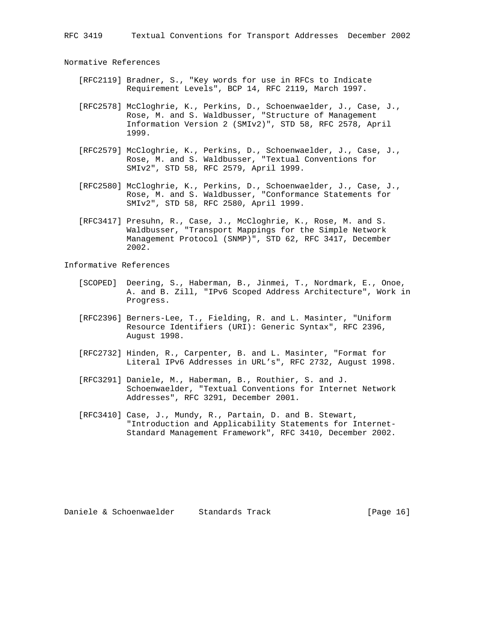Normative References

- [RFC2119] Bradner, S., "Key words for use in RFCs to Indicate Requirement Levels", BCP 14, RFC 2119, March 1997.
- [RFC2578] McCloghrie, K., Perkins, D., Schoenwaelder, J., Case, J., Rose, M. and S. Waldbusser, "Structure of Management Information Version 2 (SMIv2)", STD 58, RFC 2578, April 1999.
- [RFC2579] McCloghrie, K., Perkins, D., Schoenwaelder, J., Case, J., Rose, M. and S. Waldbusser, "Textual Conventions for SMIv2", STD 58, RFC 2579, April 1999.
- [RFC2580] McCloghrie, K., Perkins, D., Schoenwaelder, J., Case, J., Rose, M. and S. Waldbusser, "Conformance Statements for SMIv2", STD 58, RFC 2580, April 1999.
- [RFC3417] Presuhn, R., Case, J., McCloghrie, K., Rose, M. and S. Waldbusser, "Transport Mappings for the Simple Network Management Protocol (SNMP)", STD 62, RFC 3417, December 2002.

Informative References

- [SCOPED] Deering, S., Haberman, B., Jinmei, T., Nordmark, E., Onoe, A. and B. Zill, "IPv6 Scoped Address Architecture", Work in Progress.
- [RFC2396] Berners-Lee, T., Fielding, R. and L. Masinter, "Uniform Resource Identifiers (URI): Generic Syntax", RFC 2396, August 1998.
- [RFC2732] Hinden, R., Carpenter, B. and L. Masinter, "Format for Literal IPv6 Addresses in URL's", RFC 2732, August 1998.
- [RFC3291] Daniele, M., Haberman, B., Routhier, S. and J. Schoenwaelder, "Textual Conventions for Internet Network Addresses", RFC 3291, December 2001.
- [RFC3410] Case, J., Mundy, R., Partain, D. and B. Stewart, "Introduction and Applicability Statements for Internet- Standard Management Framework", RFC 3410, December 2002.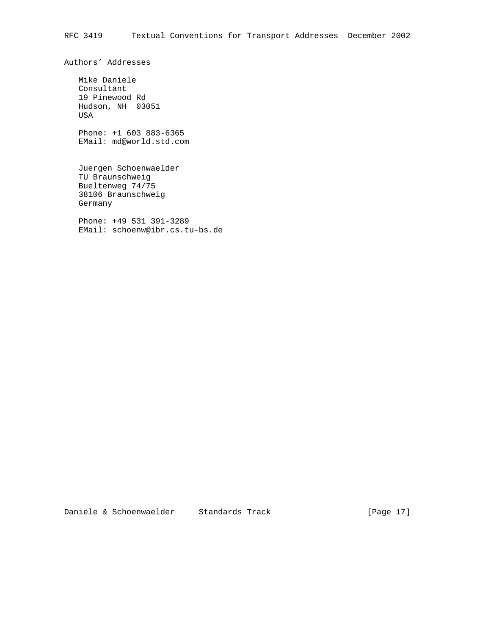Authors' Addresses

 Mike Daniele Consultant 19 Pinewood Rd Hudson, NH 03051 USA

 Phone: +1 603 883-6365 EMail: md@world.std.com

 Juergen Schoenwaelder TU Braunschweig Bueltenweg 74/75 38106 Braunschweig Germany

 Phone: +49 531 391-3289 EMail: schoenw@ibr.cs.tu-bs.de